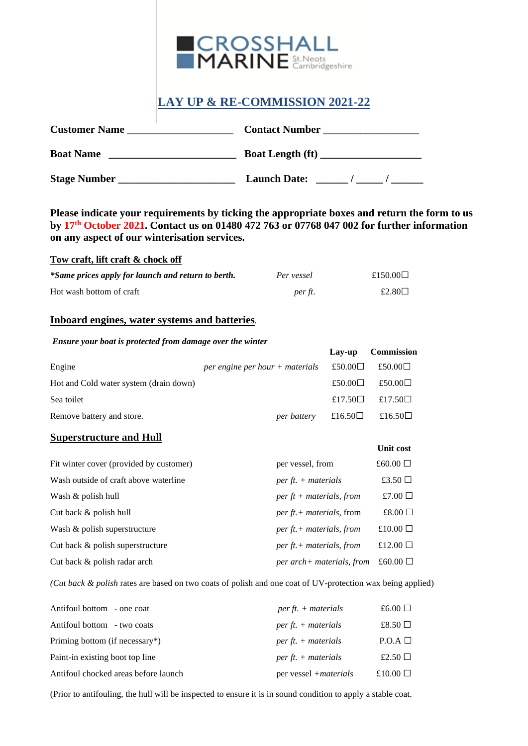

# **LAY UP & RE-COMMISSION 2021-22**

| <b>Customer Name</b> | <b>Contact Number</b>   |
|----------------------|-------------------------|
| <b>Boat Name</b>     | <b>Boat Length (ft)</b> |
| <b>Stage Number</b>  | <b>Launch Date:</b>     |

**Please indicate your requirements by ticking the appropriate boxes and return the form to us by 17th October 2021. Contact us on 01480 472 763 or 07768 047 002 for further information on any aspect of our winterisation services.**

## **Tow craft, lift craft & chock off**

| *Same prices apply for launch and return to berth. | Per vessel | £150.00 $\Box$ |
|----------------------------------------------------|------------|----------------|
| Hot wash bottom of craft                           | per ft.    | £2.80 $\Box$   |

#### **Inboard engines, water systems and batteries***.*

#### *Ensure your boat is protected from damage over the winter*

|                                        |                                                             | Lav-up           | Commission                 |
|----------------------------------------|-------------------------------------------------------------|------------------|----------------------------|
| Engine                                 | <i>per engine per hour</i> + <i>materials</i> £50.00 $\Box$ |                  | £50.00□                    |
| Hot and Cold water system (drain down) |                                                             | £50.00 $\square$ | £50.00 $\Box$              |
| Sea toilet                             |                                                             |                  | $£17.50\Box$ £17.50 $\Box$ |
| Remove battery and store.              | per battery                                                 | £16.50 $□$       | £16.50 $\square$           |

## **Superstructure and Hull**

|                                         |                                          | <b>Unit cost</b> |
|-----------------------------------------|------------------------------------------|------------------|
| Fit winter cover (provided by customer) | per vessel, from                         | £60.00 $\Box$    |
| Wash outside of craft above waterline   | per ft. $+$ materials                    | £3.50 $\Box$     |
| Wash & polish hull                      | $perft + materials, from$                | £7.00 $\Box$     |
| Cut back $&$ polish hull                | <i>per ft.</i> + <i>materials</i> , from | £8.00 $\Box$     |
| Wash & polish superstructure            | $per\,ft. + materials, from$             | £10.00 $\Box$    |
| Cut back & polish superstructure        | $per\,ft. + materials, from$             | £12.00 $\Box$    |
| Cut back & polish radar arch            | per arch+ materials, from                | £60.00 $\Box$    |

*(Cut back & polish* rates are based on two coats of polish and one coat of UV-protection wax being applied)

| Antifoul bottom - one coat           | per ft. $+$ materials         | £6.00 $\Box$    |
|--------------------------------------|-------------------------------|-----------------|
| Antifoul bottom - two coats          | $perft. + materials$          | £8.50 $\Box$    |
| Priming bottom (if necessary*)       | $perft. + materials$          | $P.O.A \square$ |
| Paint-in existing boot top line      | $perft. + materials$          | £2.50 $\Box$    |
| Antifoul chocked areas before launch | per vessel + <i>materials</i> | £10.00 $\Box$   |

(Prior to antifouling, the hull will be inspected to ensure it is in sound condition to apply a stable coat.